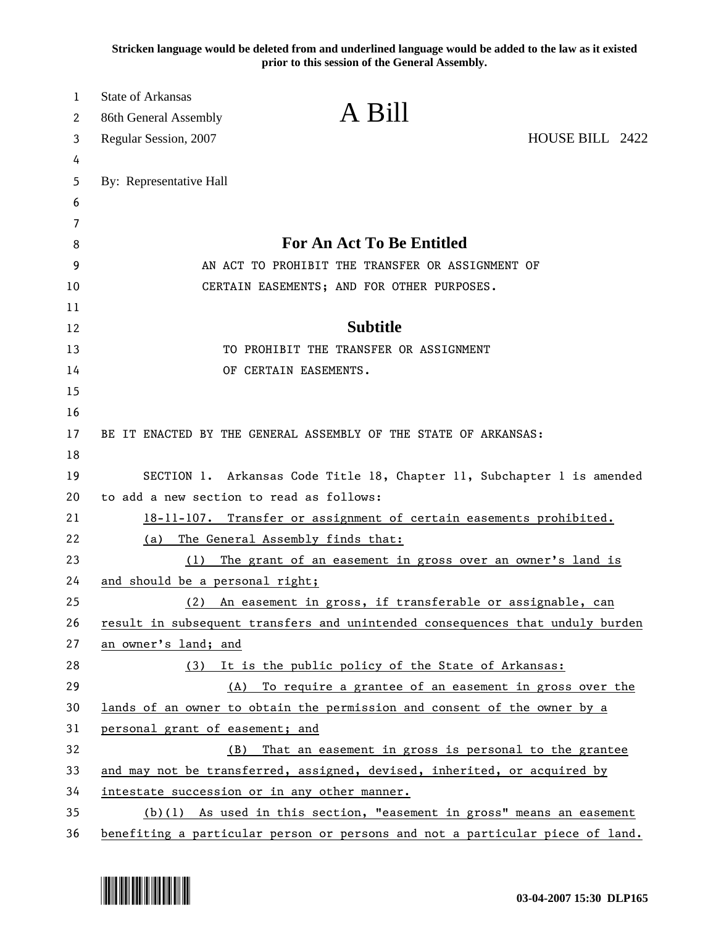**Stricken language would be deleted from and underlined language would be added to the law as it existed prior to this session of the General Assembly.**

| 1       | <b>State of Arkansas</b><br>A Bill                                            |                                                                          |  |
|---------|-------------------------------------------------------------------------------|--------------------------------------------------------------------------|--|
| 2       | 86th General Assembly                                                         |                                                                          |  |
| 3       | Regular Session, 2007                                                         | HOUSE BILL 2422                                                          |  |
| 4       |                                                                               |                                                                          |  |
| 5       | By: Representative Hall                                                       |                                                                          |  |
| 6       |                                                                               |                                                                          |  |
| 7       | For An Act To Be Entitled                                                     |                                                                          |  |
| 8       |                                                                               | AN ACT TO PROHIBIT THE TRANSFER OR ASSIGNMENT OF                         |  |
| 9<br>10 | CERTAIN EASEMENTS; AND FOR OTHER PURPOSES.                                    |                                                                          |  |
| 11      |                                                                               |                                                                          |  |
| 12      | <b>Subtitle</b>                                                               |                                                                          |  |
| 13      | TO PROHIBIT THE TRANSFER OR ASSIGNMENT                                        |                                                                          |  |
| 14      | OF CERTAIN EASEMENTS.                                                         |                                                                          |  |
| 15      |                                                                               |                                                                          |  |
| 16      |                                                                               |                                                                          |  |
| 17      | BE IT ENACTED BY THE GENERAL ASSEMBLY OF THE STATE OF ARKANSAS:               |                                                                          |  |
| 18      |                                                                               |                                                                          |  |
| 19      | SECTION 1. Arkansas Code Title 18, Chapter 11, Subchapter 1 is amended        |                                                                          |  |
| 20      | to add a new section to read as follows:                                      |                                                                          |  |
| 21      | 18-11-107. Transfer or assignment of certain easements prohibited.            |                                                                          |  |
| 22      | The General Assembly finds that:<br>(a)                                       |                                                                          |  |
| 23      | The grant of an easement in gross over an owner's land is<br>(1)              |                                                                          |  |
| 24      | and should be a personal right;                                               |                                                                          |  |
| 25      | (2)                                                                           | An easement in gross, if transferable or assignable, can                 |  |
| 26      | result in subsequent transfers and unintended consequences that unduly burden |                                                                          |  |
| 27      | an owner's land; and                                                          |                                                                          |  |
| 28      | It is the public policy of the State of Arkansas:<br>(3)                      |                                                                          |  |
| 29      | (A)                                                                           | To require a grantee of an easement in gross over the                    |  |
| 30      | lands of an owner to obtain the permission and consent of the owner by a      |                                                                          |  |
| 31      | personal grant of easement; and                                               |                                                                          |  |
| 32      | (B)                                                                           | That an easement in gross is personal to the grantee                     |  |
| 33      |                                                                               | and may not be transferred, assigned, devised, inherited, or acquired by |  |
| 34      |                                                                               | intestate succession or in any other manner.                             |  |
| 35      | (b)(1) As used in this section, "easement in gross" means an easement         |                                                                          |  |
| 36      | benefiting a particular person or persons and not a particular piece of land. |                                                                          |  |